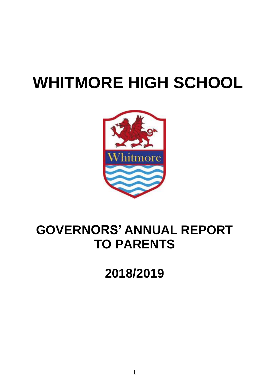# **WHITMORE HIGH SCHOOL**



## **GOVERNORS' ANNUAL REPORT TO PARENTS**

**2018/2019**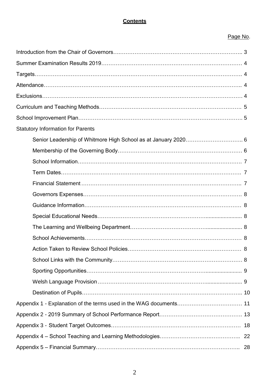#### **Contents**

#### Page No.

| <b>Statutory Information for Parents</b> |   |
|------------------------------------------|---|
|                                          |   |
|                                          |   |
|                                          |   |
|                                          |   |
|                                          |   |
|                                          |   |
|                                          |   |
|                                          |   |
|                                          |   |
|                                          |   |
| Action Taken to Review School Policies   | 8 |
|                                          |   |
|                                          |   |
|                                          |   |
|                                          |   |
|                                          |   |
|                                          |   |
|                                          |   |
|                                          |   |
|                                          |   |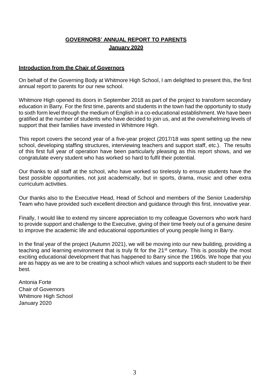#### **GOVERNORS' ANNUAL REPORT TO PARENTS January 2020**

#### **Introduction from the Chair of Governors**

On behalf of the Governing Body at Whitmore High School, I am delighted to present this, the first annual report to parents for our new school.

Whitmore High opened its doors in September 2018 as part of the project to transform secondary education in Barry. For the first time, parents and students in the town had the opportunity to study to sixth form level through the medium of English in a co-educational establishment. We have been gratified at the number of students who have decided to join us, and at the overwhelming levels of support that their families have invested in Whitmore High.

This report covers the second year of a five-year project (2017/18 was spent setting up the new school, developing staffing structures, interviewing teachers and support staff, etc.). The results of this first full year of operation have been particularly pleasing as this report shows, and we congratulate every student who has worked so hard to fulfil their potential.

Our thanks to all staff at the school, who have worked so tirelessly to ensure students have the best possible opportunities, not just academically, but in sports, drama, music and other extra curriculum activities.

Our thanks also to the Executive Head, Head of School and members of the Senior Leadership Team who have provided such excellent direction and guidance through this first, innovative year.

Finally, I would like to extend my sincere appreciation to my colleague Governors who work hard to provide support and challenge to the Executive, giving of their time freely out of a genuine desire to improve the academic life and educational opportunities of young people living in Barry.

In the final year of the project (Autumn 2021), we will be moving into our new building, providing a teaching and learning environment that is truly fit for the 21<sup>st</sup> century. This is possibly the most exciting educational development that has happened to Barry since the 1960s. We hope that you are as happy as we are to be creating a school which values and supports each student to be their best.

Antonia Forte Chair of Governors Whitmore High School January 2020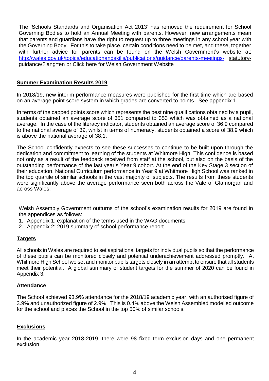The 'Schools Standards and Organisation Act 2013' has removed the requirement for School Governing Bodies to hold an Annual Meeting with parents. However, new arrangements mean that parents and guardians have the right to request up to three meetings in any school year with the Governing Body. For this to take place, certain conditions need to be met, and these, together with further advice for parents can be found on the Welsh Government's website at: <http://wales.gov.uk/topics/educationandskills/publications/guidance/parents-meetings-> [statutory](http://wales.gov.uk/topics/educationandskills/publications/guidance/parents-meetings-statutory-guidance/?lang=en)[guidance/?lang=en](http://wales.gov.uk/topics/educationandskills/publications/guidance/parents-meetings-statutory-guidance/?lang=en) or Click here for Welsh [Government](http://wales.gov.uk/topics/educationandskills/publications/guidance/parents-meetings-statutory-guidance/?lang=en) Website

#### **Summer Examination Results 2019**

In 2018/19, new interim performance measures were published for the first time which are based on an average point score system in which grades are converted to points. See appendix 1.

In terms of the capped points score which represents the best nine qualifications obtained by a pupil, students obtained an average score of 351 compared to 353 which was obtained as a national average. In the case of the literacy indicator, students obtained an average score of 36.9 compared to the national average of 39, whilst in terms of numeracy, students obtained a score of 38.9 which is above the national average of 38.1.

The School confidently expects to see these successes to continue to be built upon through the dedication and commitment to learning of the students at Whitmore High. This confidence is based not only as a result of the feedback received from staff at the school, but also on the basis of the outstanding performance of the last year's Year 9 cohort. At the end of the Key Stage 3 section of their education, National Curriculum performance in Year 9 at Whitmore High School was ranked in the top quartile of similar schools in the vast majority of subjects. The results from these students were significantly above the average performance seen both across the Vale of Glamorgan and across Wales.

Welsh Assembly Government outturns of the school's examination results for 2019 are found in the appendices as follows:

- 1. Appendix 1: explanation of the terms used in the WAG documents
- 2. Appendix 2: 2019 summary of school performance report

#### **Targets**

All schools in Wales are required to set aspirational targets for individual pupils so that the performance of these pupils can be monitored closely and potential underachievement addressed promptly. At Whitmore High School we set and monitor pupils targets closely in an attempt to ensure that all students meet their potential. A global summary of student targets for the summer of 2020 can be found in Appendix 3.

#### **Attendance**

The School achieved 93.9% attendance for the 2018/19 academic year, with an authorised figure of 3.9% and unauthorized figure of 2.9%. This is 0.4% above the Welsh Assembled modelled outcome for the school and places the School in the top 50% of similar schools.

#### **Exclusions**

In the academic year 2018-2019, there were 98 fixed term exclusion days and one permanent exclusion.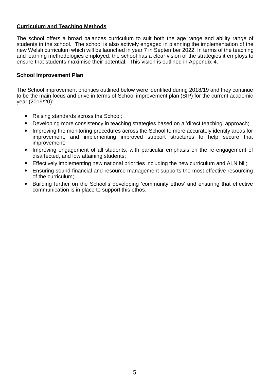#### **Curriculum and Teaching Methods**

The school offers a broad balances curriculum to suit both the age range and ability range of students in the school. The school is also actively engaged in planning the implementation of the new Welsh curriculum which will be launched in year 7 in September 2022. In terms of the teaching and learning methodologies employed, the school has a clear vision of the strategies it employs to ensure that students maximise their potential. This vision is outlined in Appendix 4.

#### **School Improvement Plan**

The School improvement priorities outlined below were identified during 2018/19 and they continue to be the main focus and drive in terms of School improvement plan (SIP) for the current academic year (2019/20):

- Raising standards across the School;
- Developing more consistency in teaching strategies based on a 'direct teaching' approach;
- Improving the monitoring procedures across the School to more accurately identify areas for improvement, and implementing improved support structures to help secure that improvement;
- Improving engagement of all students, with particular emphasis on the re-engagement of disaffected, and low attaining students;
- Effectively implementing new national priorities including the new curriculum and ALN bill;
- Ensuring sound financial and resource management supports the most effective resourcing of the curriculum;
- Building further on the School's developing 'community ethos' and ensuring that effective communication is in place to support this ethos.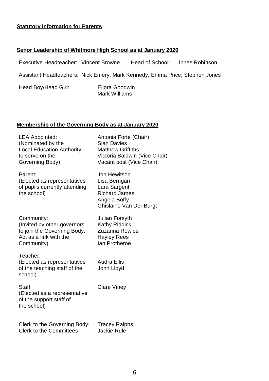#### **Statutory Information for Parents**

#### **Senor Leadership of Whitmore High School as at January 2020**

| Executive Headteacher: Vincent Browne                                       |                                        | Head of School: | Innes Robinson |
|-----------------------------------------------------------------------------|----------------------------------------|-----------------|----------------|
| Assistant Headteachers: Nick Emery, Mark Kennedy, Emma Price, Stephen Jones |                                        |                 |                |
| Head Boy/Head Girl:                                                         | <b>Ellora Goodwin</b><br>Mark Williams |                 |                |

#### **Membership of the Governing Body as at January 2020**

LEA Appointed: Antonia Forte (Chair) (Nominated by the Sian Davies Local Education Authority Matthew Griffiths to serve on the Victoria Baldwin (Vice Chair) Governing Body) Vacant post (Vice Chair)

Parent: Jon Hewitson (Elected as representatives Lisa Berrigan of pupils currently attending Lara Sargent the school) and Richard James

Community: Julian Forsyth (Invited by other governors Kathy Riddick to join the Governing Body. Zuzanna Rowles Act as a link with the Hayley Rees Community) an Protheroe

Teacher: (Elected as representatives Audra Ellis of the teaching staff of the John Lloyd school)

Angela Boffy

Ghislaine Van Der Burgt

Staff: Clare Viney (Elected as a representative of the support staff of the school)

Clerk to the Governing Body: Tracey Ralphs Clerk to the Committees Jackie Rule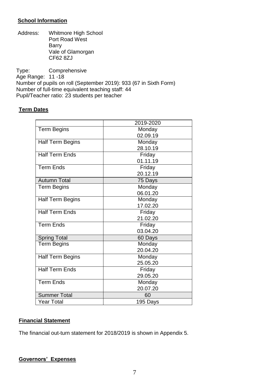#### **School Information**

Address: Whitmore High School Port Road West Barry Vale of Glamorgan CF62 8ZJ

Type: Comprehensive Age Range: 11 -18 Number of pupils on roll (September 2019): 933 (67 in Sixth Form) Number of full-time equivalent teaching staff: 44 Pupil/Teacher ratio: 23 students per teacher

#### **Term Dates**

|                         | 2019-2020 |
|-------------------------|-----------|
| <b>Term Begins</b>      | Monday    |
|                         | 02.09.19  |
| <b>Half Term Begins</b> | Monday    |
|                         | 28.10.19  |
| <b>Half Term Ends</b>   | Friday    |
|                         | 01.11.19  |
| <b>Term Ends</b>        | Friday    |
|                         | 20.12.19  |
| <b>Autumn Total</b>     | 75 Days   |
| <b>Term Begins</b>      | Monday    |
|                         | 06.01.20  |
| <b>Half Term Begins</b> | Monday    |
|                         | 17.02.20  |
| <b>Half Term Ends</b>   | Friday    |
|                         | 21.02.20  |
| <b>Term Ends</b>        | Friday    |
|                         | 03.04.20  |
| <b>Spring Total</b>     | 60 Days   |
| <b>Term Begins</b>      | Monday    |
|                         | 20.04.20  |
| <b>Half Term Begins</b> | Monday    |
|                         | 25.05.20  |
| <b>Half Term Ends</b>   | Friday    |
|                         | 29.05.20  |
| <b>Term Ends</b>        | Monday    |
|                         | 20.07.20  |
| <b>Summer Total</b>     | 60        |
| <b>Year Total</b>       | 195 Days  |

#### **Financial Statement**

The financial out-turn statement for 2018/2019 is shown in Appendix 5.

#### **Governors' Expenses**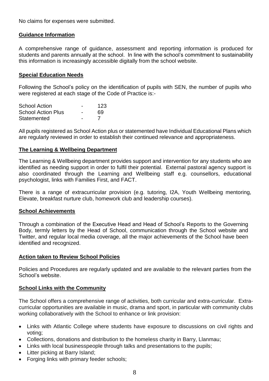No claims for expenses were submitted.

#### **Guidance Information**

A comprehensive range of guidance, assessment and reporting information is produced for students and parents annually at the school. In line with the school's commitment to sustainability this information is increasingly accessible digitally from the school website.

#### **Special Education Needs**

Following the School's policy on the identification of pupils with SEN, the number of pupils who were registered at each stage of the Code of Practice is:-

| <b>School Action</b>      | - | 123 |
|---------------------------|---|-----|
| <b>School Action Plus</b> | - | 69  |
| Statemented               | - |     |

All pupils registered as School Action plus or statemented have Individual Educational Plans which are regularly reviewed in order to establish their continued relevance and appropriateness.

#### **The Learning & Wellbeing Department**

The Learning & Wellbeing department provides support and intervention for any students who are identified as needing support in order to fulfil their potential. External pastoral agency support is also coordinated through the Learning and Wellbeing staff e.g. counsellors, educational psychologist, links with Families First, and FACT.

There is a range of extracurricular provision (e.g. tutoring, I2A, Youth Wellbeing mentoring, Elevate, breakfast nurture club, homework club and leadership courses).

#### **School Achievements**

Through a combination of the Executive Head and Head of School's Reports to the Governing Body, termly letters by the Head of School, communication through the School website and Twitter, and regular local media coverage, all the major achievements of the School have been identified and recognized.

#### **Action taken to Review School Policies**

Policies and Procedures are regularly updated and are available to the relevant parties from the School's website.

#### **School Links with the Community**

The School offers a comprehensive range of activities, both curricular and extra-curricular. Extracurricular opportunities are available in music, drama and sport, in particular with community clubs working collaboratively with the School to enhance or link provision:

- Links with Atlantic College where students have exposure to discussions on civil rights and voting;
- Collections, donations and distribution to the homeless charity in Barry, Llanmau;
- Links with local businesspeople through talks and presentations to the pupils;
- Litter picking at Barry Island;
- Forging links with primary feeder schools;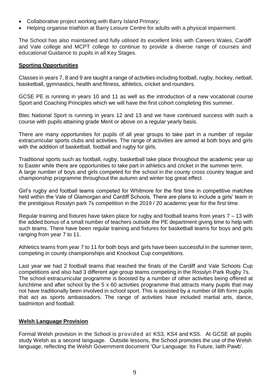- Collaborative project working with Barry Island Primary;
- Helping organise triathlon at Barry Leisure Centre for adults with a physical impairment.

The School has also maintained and fully utilised its excellent links with Careers Wales, Cardiff and Vale college and MCPT college to continue to provide a diverse range of courses and educational Guidance to pupils in all Key Stages.

#### **Sporting Opportunities**

Classes in years 7, 8 and 9 are taught a range of activities including football, rugby, hockey, netball, basketball, gymnastics, health and fitness, athletics, cricket and rounders.

GCSE PE is running in years 10 and 11 as well as the introduction of a new vocational course Sport and Coaching Principles which we will have the first cohort completing this summer.

Btec National Sport is running in years 12 and 13 and we have continued success with such a course with pupils attaining grade Merit or above on a regular yearly basis.

There are many opportunities for pupils of all year groups to take part in a number of regular extracurricular sports clubs and activities. The range of activities are aimed at both boys and girls with the addition of basketball, football and rugby for girls.

Traditional sports such as football, rugby, basketball take place throughout the academic year up to Easter while there are opportunities to take part in athletics and cricket in the summer term. A large number of boys and girls competed for the school in the county cross country league and championship programme throughout the autumn and winter top great effect.

Girl's rugby and football teams competed for Whitmore for the first time in competitive matches held within the Vale of Glamorgan and Cardiff Schools. There are plans to include a girls' team in the prestigious Rosslyn park 7s competition in the 2019 / 20 academic year for the first time.

Regular training and fixtures have taken place for rugby and football teams from years 7 – 13 with the added bonus of a small number of teachers outside the PE department giving time to help with such teams. There have been regular training and fixtures for basketball teams for boys and girls ranging from year 7 to 11.

Athletics teams from year 7 to 11 for both boys and girls have been successful in the summer term, competing in county championships and Knockout Cup competitions.

Last year we had 2 football teams that reached the finals of the Cardiff and Vale Schools Cup competitions and also had 3 different age group teams competing in the Rosslyn Park Rugby 7s. The school extracurricular programme is boosted by a number of other activities being offered at lunchtime and after school by the 5 x 60 activities programme that attracts many pupils that may not have traditionally been involved in school sport. This is assisted by a number of 6th form pupils that act as sports ambassadors. The range of activities have included martial arts, dance, badminton and football.

#### **Welsh Language Provision**

Formal Welsh provision in the School is provided at KS3, KS4 and KS5. At GCSE all pupils study Welsh as a second language. Outside lessons, the School promotes the use of the Welsh language, reflecting the Welsh Government document 'Our Language: Its Future, Iaith Pawb'.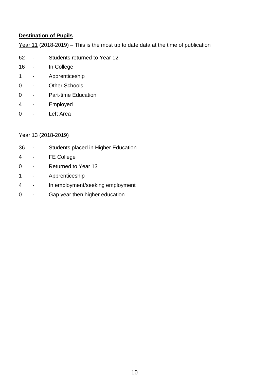#### **Destination of Pupils**

Year 11 (2018-2019) – This is the most up to date data at the time of publication

- Students returned to Year 12
- In College
- Apprenticeship
- Other Schools
- Part-time Education
- Employed
- Left Area

#### Year 13 (2018-2019)

- Students placed in Higher Education
- FE College
- Returned to Year 13
- Apprenticeship
- In employment/seeking employment
- Gap year then higher education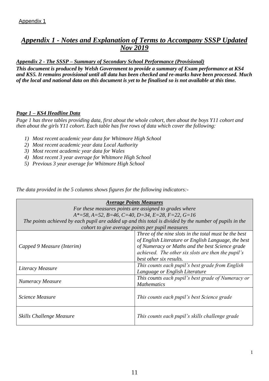#### *Appendix 1 - Notes and Explanation of Terms to Accompany SSSP Updated Nov 2019*

*Appendix 2 - The SSSP – Summary of Secondary School Performance (Provisional)*

*This document is produced by Welsh Government to provide a summary of Exam performance at KS4 and KS5. It remains provisional until all data has been checked and re-marks have been processed. Much of the local and national data on this document is yet to be finalised so is not available at this time.*

#### *Page 1 – KS4 Headline Data*

*Page 1 has three tables providing data, first about the whole cohort, then about the boys Y11 cohort and then about the girls Y11 cohort. Each table has five rows of data which cover the following:*

- *1) Most recent academic year data for Whitmore High School*
- *2) Most recent academic year data Local Authority*
- *3) Most recent academic year data for Wales*
- *4) Most recent 3 year average for Whitmore High School*
- *5) Previous 3 year average for Whitmore High School*

*The data provided in the 5 columns shows figures for the following indicators:-*

| <b>Average Points Measures</b>                                                                               |                                                                                                                                  |  |  |
|--------------------------------------------------------------------------------------------------------------|----------------------------------------------------------------------------------------------------------------------------------|--|--|
|                                                                                                              | For these measures points are assigned to grades where                                                                           |  |  |
|                                                                                                              | $A^*=58$ , A=52, B=46, C=40, D=34, E=28, F=22, G=16                                                                              |  |  |
|                                                                                                              | The points achieved by each pupil are added up and this total is divided by the number of pupils in the                          |  |  |
|                                                                                                              | cohort to give average points per pupil measures                                                                                 |  |  |
| Three of the nine slots in the total must be the best<br>of English Literature or English Language, the best |                                                                                                                                  |  |  |
| Capped 9 Measure (Interim)                                                                                   | of Numeracy or Maths and the best Science grade<br>achieved. The other six slots are then the pupil's<br>best other six results. |  |  |
| This counts each pupil's best grade from English<br>Literacy Measure<br>Language or English Literature       |                                                                                                                                  |  |  |
| Numeracy Measure                                                                                             | This counts each pupil's best grade of Numeracy or<br><b>Mathematics</b>                                                         |  |  |
| <b>Science Measure</b><br>This counts each pupil's best Science grade                                        |                                                                                                                                  |  |  |
| <b>Skills Challenge Measure</b>                                                                              | This counts each pupil's skills challenge grade                                                                                  |  |  |

1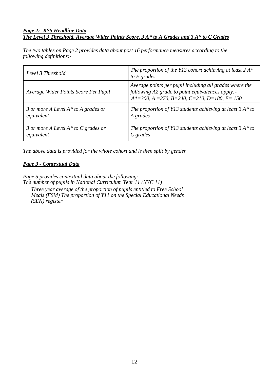#### *Page 2:- KS5 Headline Data The Level 3 Threshold, Average Wider Points Score, 3 A\* to A Grades and 3 A\* to C Grades*

*The two tables on Page 2 provides data about post 16 performance measures according to the following definitions:-*

| Level 3 Threshold                      | The proportion of the Y13 cohort achieving at least $2A^*$<br>to $E$ grades                                                                                               |
|----------------------------------------|---------------------------------------------------------------------------------------------------------------------------------------------------------------------------|
| Average Wider Points Score Per Pupil   | Average points per pupil including all grades where the<br>following A2 grade to point equivalences apply:-<br>$A*=300$ , $A=270$ , $B=240$ , $C=210$ , $D=180$ , $E=150$ |
| 3 or more A Level $A^*$ to A grades or | The proportion of Y13 students achieving at least $3 A^*$ to                                                                                                              |
| equivalent                             | A grades                                                                                                                                                                  |
| 3 or more A Level $A^*$ to C grades or | The proportion of Y13 students achieving at least $3 A^*$ to                                                                                                              |
| equivalent                             | $C$ grades                                                                                                                                                                |

*The above data is provided for the whole cohort and is then split by gender*

#### *Page 3 - Contextual Data*

*Page 5 provides contextual data about the following:- The number of pupils in National Curriculum Year 11 (NYC 11) Three year average of the proportion of pupils entitled to Free School Meals (FSM) The proportion of Y11 on the Special Educational Needs (SEN) register*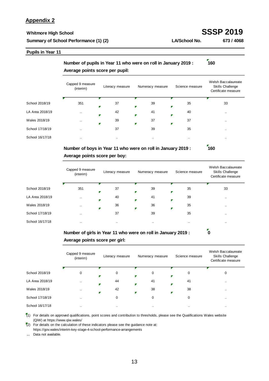#### **Appendix 2**

#### **Whitmore High School SSSP 2019 Summary of School Performance (1) (2)**

**LA/School No. 673 / 4068**

#### **Pupils in Year 11**

**Number of pupils in Year 11 who were on roll in January 2019 : 160** Capped 9 measure<br>(interim) Literacy measure Numeracy measure Science measure Welsh Baccalaureate Skills Challenge **Average points score per pupil:**

|                 |               |           |           |           | Certificate measure |
|-----------------|---------------|-----------|-----------|-----------|---------------------|
| School 2018/19  | 351           | 37        | 39<br>₽   | 35<br>F   | 33                  |
| LA Area 2018/19 | $\cdots$      | 42        | 41<br>Γ   | 40<br>₽   | $\cdots$            |
| Wales 2018/19   | $\sim$        | 39        | 37<br>Г   | 37<br>₹   | $\sim$              |
| School 17/18/19 | $\sim$ $\sim$ | 37        | 39        | 35        | $\sim$ $\sim$       |
| School 16/17/18 | $\sim$        | $\cdot$ . | $\cdot$ . | $\cdot$ . | $\cdot$ .           |
|                 |               |           |           |           |                     |

#### **Number of boys in Year 11 who were on roll in January 2019 : 160 Average points score per boy:**

|                 | Capped 9 measure<br>(interim) | Literacy measure | Numeracy measure | Science measure | Welsh Baccalaureate<br>Skills Challenge<br>Certificate measure |
|-----------------|-------------------------------|------------------|------------------|-----------------|----------------------------------------------------------------|
| School 2018/19  | 351                           | 37               | 39               | 35              | 33                                                             |
| LA Area 2018/19 | $\cdot$ .                     | 40               | 41               | 39              |                                                                |
| Wales 2018/19   | $\sim$ $\sim$                 | 36               | 36<br>F          | 35<br>₽         | $\cdot$ .                                                      |
| School 17/18/19 | $\sim$ $\sim$                 | 37               | 39               | 35              | $\cdot$ .                                                      |
| School 16/17/18 | $\cdot$                       | $\cdot$          | $\cdot$          | $\cdot$ .       | $\cdot$ .                                                      |

#### **Number of girls in Year 11 who were on roll in January 2019 : 0 Average points score per girl:**

|                 | Capped 9 measure<br>(interim) | Literacy measure | Numeracy measure | Science measure | Welsh Baccalaureate<br><b>Skills Challenge</b><br>Certificate measure |
|-----------------|-------------------------------|------------------|------------------|-----------------|-----------------------------------------------------------------------|
| School 2018/19  | 0                             | 0                | 0                | 0               | 0                                                                     |
| LA Area 2018/19 |                               | 44<br>π          | 41               | 41              | $\cdot$ .                                                             |
| Wales 2018/19   |                               | 42               | 38               | 38              | $\cdots$                                                              |
| School 17/18/19 |                               | 0                | 0                | 0               | $\cdot$ .                                                             |
| School 16/17/18 | . .                           | $\cdot$ .        | $\cdot$ .        | $\cdot$         | $\cdot$ .                                                             |

(1) For details on approved qualifications, point scores and contribution to thresholds, please see the Qualifications Wales website (QiW) at https://www.qiw.wales/

(2) For details on the calculation of these indicators please see the guidance note at: https://gov.wales/interim-key-stage-4-school-performance-arrangements

. . Data not available.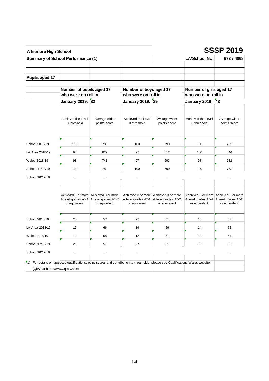| <b>Whitmore High School</b>                                                                                                                                                   |                                                                                                       |                               |                                                            |                                                        |                                                | <b>SSSP 2019</b>                                                                                    |
|-------------------------------------------------------------------------------------------------------------------------------------------------------------------------------|-------------------------------------------------------------------------------------------------------|-------------------------------|------------------------------------------------------------|--------------------------------------------------------|------------------------------------------------|-----------------------------------------------------------------------------------------------------|
| <b>Summary of School Performance (1)</b>                                                                                                                                      |                                                                                                       |                               |                                                            |                                                        | LA/School No.                                  | 673 / 4068                                                                                          |
|                                                                                                                                                                               |                                                                                                       |                               |                                                            |                                                        |                                                |                                                                                                     |
| Pupils aged 17                                                                                                                                                                |                                                                                                       |                               |                                                            |                                                        |                                                |                                                                                                     |
|                                                                                                                                                                               | Number of pupils aged 17<br>who were on roll in                                                       |                               | Number of boys aged 17<br>who were on roll in              |                                                        | Number of girls aged 17<br>who were on roll in |                                                                                                     |
|                                                                                                                                                                               | January 2019: 82                                                                                      |                               | January 2019: 39                                           |                                                        | January 2019: 43                               |                                                                                                     |
|                                                                                                                                                                               |                                                                                                       |                               |                                                            |                                                        |                                                |                                                                                                     |
|                                                                                                                                                                               | Achieved the Level<br>3 threshold                                                                     | Average wider<br>points score | Achieved the Level<br>3 threshold                          | Average wider<br>points score                          | Achieved the Level<br>3 threshold              | Average wider<br>points score                                                                       |
| School 2018/19                                                                                                                                                                | 100                                                                                                   | 780                           | 100                                                        | 799                                                    | 100                                            | 762                                                                                                 |
| LA Area 2018/19                                                                                                                                                               | 98                                                                                                    | 829                           | 97                                                         | 812                                                    | 100                                            | 844                                                                                                 |
| Wales 2018/19                                                                                                                                                                 | 98                                                                                                    | 741                           | 97                                                         | 693                                                    | 98                                             | 781                                                                                                 |
| School 17/18/19                                                                                                                                                               | 100                                                                                                   | 780                           | 100                                                        | 799                                                    | 100                                            | 762                                                                                                 |
| School 16/17/18                                                                                                                                                               |                                                                                                       | à.                            |                                                            |                                                        |                                                | à.                                                                                                  |
|                                                                                                                                                                               | Achieved 3 or more   Achieved 3 or more<br>A level grades A*-A   A level grades A*-C<br>or equivalent | or equivalent                 | A level grades A*-A   A level grades A*-C<br>or equivalent | Achieved 3 or more Achieved 3 or more<br>or equivalent | or equivalent                                  | Achieved 3 or more Achieved 3 or more<br>A level grades A*-A   A level grades A*-C<br>or equivalent |
| School 2018/19                                                                                                                                                                | 20                                                                                                    | 57                            | 27                                                         | 51                                                     | 13                                             | 63                                                                                                  |
| LA Area 2018/19                                                                                                                                                               | 17                                                                                                    | 66                            | 19                                                         | 59                                                     | 14                                             | 72                                                                                                  |
| Wales 2018/19                                                                                                                                                                 | 13                                                                                                    | 58                            | 12                                                         | 51                                                     | 14                                             | 64                                                                                                  |
| School 17/18/19                                                                                                                                                               | 20                                                                                                    | 57                            | 27                                                         | 51                                                     | 13                                             | 63                                                                                                  |
| School 16/17/18                                                                                                                                                               |                                                                                                       |                               |                                                            |                                                        |                                                | ä.                                                                                                  |
|                                                                                                                                                                               |                                                                                                       |                               |                                                            |                                                        |                                                |                                                                                                     |
| $\sqrt[7]{1}$ For details on approved qualifications, point scores and contribution to thresholds, please see Qualifications Wales website<br>(QiW) at https://www.qiw.wales/ |                                                                                                       |                               |                                                            |                                                        |                                                |                                                                                                     |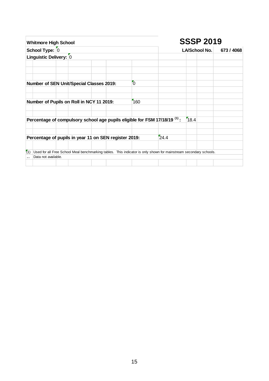| <b>Whitmore High School</b>                                                                                                                     |                | <b>SSSP 2019</b> |      |  |
|-------------------------------------------------------------------------------------------------------------------------------------------------|----------------|------------------|------|--|
| School Type: 0                                                                                                                                  |                | LA/School No.    |      |  |
| Linguistic Delivery: 0                                                                                                                          |                |                  |      |  |
|                                                                                                                                                 |                |                  |      |  |
| Number of SEN Unit/Special Classes 2019:                                                                                                        | $\overline{0}$ |                  |      |  |
| Number of Pupils on Roll in NCY 11 2019:                                                                                                        | 160            |                  |      |  |
| Percentage of compulsory school age pupils eligible for FSM 17/18/19 <sup>(1)</sup> :                                                           |                |                  | 18.4 |  |
| Percentage of pupils in year 11 on SEN register 2019:                                                                                           |                | 24.4             |      |  |
| (1)<br>Used for all Free School Meal benchmarking tables. This indicator is only shown for mainstream secondary schools.<br>Data not available. |                |                  |      |  |
|                                                                                                                                                 |                |                  |      |  |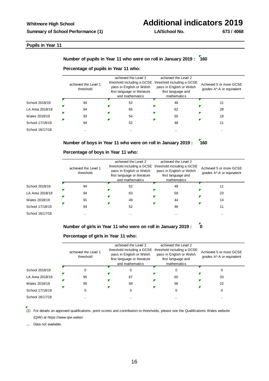Ê

## **Whitmore High School Additional indicators 2019**

z

#### **Pupils in Year 11**

#### **Number of pupils in Year 11 who were on roll in January 2019 : 160**

#### **Percentage of pupils in Year 11 who:** achieved the Level 2 achieved the Level 2 threshold including a GCSE threshold including a GCSE achieved the Level 1 Achieved 5 or more GCSE pass in English or Welsh pass in English or Welsh threshold grades A\*-A or equivalent first language or literature first language and and mathematics mathematics School 2018/19 94 52 52 48 11 Г ×

LA Area 2018/19 Wales 2018/19 School 17/18/19 School 16/17/18



94 65 62 28 93 54 50 50 518 518 520 520 5318 54 94 52 52 48 11

т

#### **Percentage of boys in Year 11 who:**

P

|                 | achieved the Level 1<br>threshold | achieved the Level 2<br>threshold including a GCSE threshold including a GCSE<br>pass in English or Welsh<br>first language or literature<br>and mathematics | achieved the Level 2<br>pass in English or Welsh<br>first language and<br>mathematics | Achieved 5 or more GCSE<br>grades A*-A or equivalent |
|-----------------|-----------------------------------|--------------------------------------------------------------------------------------------------------------------------------------------------------------|---------------------------------------------------------------------------------------|------------------------------------------------------|
| School 2018/19  | 94                                | 52                                                                                                                                                           | 48                                                                                    | 11                                                   |
| LA Area 2018/19 | 94                                | 63                                                                                                                                                           | 59                                                                                    | 23                                                   |
| Wales 2018/19   | 91                                | 49                                                                                                                                                           | 44                                                                                    | 14                                                   |
| School 17/18/19 | 94                                | 52                                                                                                                                                           | 48                                                                                    |                                                      |
| School 16/17/18 | $\cdot$ .                         | $\cdot$ .                                                                                                                                                    |                                                                                       | $\cdot$ .                                            |

**Number of girls in Year 11 who were on roll in January 2019 : 0**

#### **Percentage of girls in Year 11 who:**

|                 | achieved the Level 1<br>threshold | achieved the Level 2<br>threshold including a GCSE<br>pass in English or Welsh<br>first language or literature<br>and mathematics | achieved the Level 2<br>threshold including a GCSE<br>pass in English or Welsh<br>first language and<br>mathematics | Achieved 5 or more GCSE<br>grades A*-A or equivalent |
|-----------------|-----------------------------------|-----------------------------------------------------------------------------------------------------------------------------------|---------------------------------------------------------------------------------------------------------------------|------------------------------------------------------|
| School 2018/19  |                                   |                                                                                                                                   | 0                                                                                                                   |                                                      |
| LA Area 2018/19 | 95                                | 67                                                                                                                                | 65                                                                                                                  | 33                                                   |
| Wales 2018/19   | 95                                | 59                                                                                                                                | 56                                                                                                                  | 22                                                   |
| School 17/18/19 |                                   |                                                                                                                                   |                                                                                                                     |                                                      |
| School 16/17/18 |                                   | . .                                                                                                                               | $\cdot$                                                                                                             |                                                      |

(1) For details on approved qualifications, point scores and contribution to thresholds, please see the Qualifications Wales website (QiW) at https://www.qiw.wales/

. . Data not available.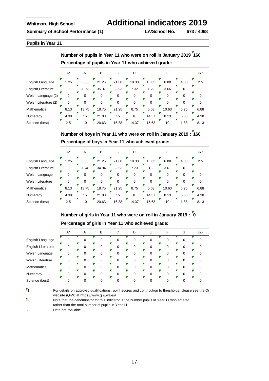**Pupils in Year 11** 



**Number of boys in Year 11 who were on roll in January 2019 : 160 Percentage of boys in Year 11 who achieved grade:**

|                         | $A^*$ | Α     | B     |       | D     | E     |       | G    | U/X  |
|-------------------------|-------|-------|-------|-------|-------|-------|-------|------|------|
| English Language        | 1.25  | 6.88  | 21.25 | 21.88 | 19.38 | 15.63 | 6.88  | 4.38 | 2.5  |
| English Literature      | 0     | 20.48 | 34.94 | 32.53 | 7.23  | 1.2   | 3.61  |      |      |
| Welsh Language          |       |       |       |       |       |       | O     |      |      |
| <b>Welsh Literature</b> |       |       |       |       |       |       |       |      |      |
| <b>Mathematics</b>      | 8.13  | 13.75 | 18.75 | 21.25 | 8.75  | 5.63  | 10.63 | 6.25 | 6.88 |
| Numeracy                | 4.38  | 15    | 21.88 | 15    | 10    | 14.37 | 8.13  | 5.63 | 4.38 |
| Science (best)          | 2.5   | 10    | 20.63 | 16.88 | 14.37 | 15.63 | 10    | 1.88 | 8.13 |

**Number of girls in Year 11 who were on roll in January 2019 : 0 Percentage of girls in Year 11 who achieved grade:**

|                         | $A^*$ | A | В | D |   | G | U/X |
|-------------------------|-------|---|---|---|---|---|-----|
| English Language        |       |   |   | 0 |   |   |     |
| Ζ<br>English Literature |       |   |   | 0 |   |   |     |
| ┏<br>Welsh Language     |       |   | 0 | 0 | 0 |   |     |
| Z<br>Welsh Literature   |       |   |   |   |   |   |     |
| 7<br>Mathematics        |       |   | ŋ | 0 | 0 |   |     |
| I.<br>Numeracy          |       |   |   | 0 |   |   |     |
| Γ<br>Science (best)     |       |   |   |   |   |   |     |

 $(1)$ 

..

For details on approved qualifications, point scores and contribution to thresholds, please see the Qualitications, point scores and contribution to thresholds, please see the Qu website (QiW) at https://www.qiw.wales/

 $\sqrt{2}$  Note that the denominator for this indicator is the number pupils in Year 11 who entered rather than the total number of pupils in Year 11

Data not available.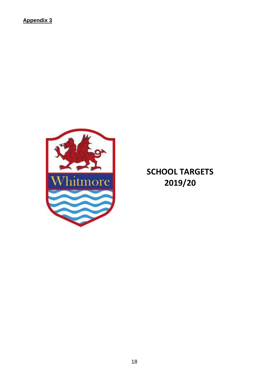**Appendix 3**



**SCHOOL TARGETS**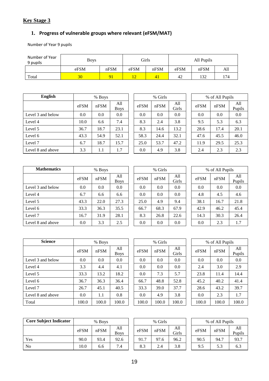## **Key Stage 3**

#### **1. Progress of vulnerable groups where relevant (eFSM/MAT)**

Number of Year 9 pupils

| Number of Year<br>9 pupils | <b>Boys</b>  | Girls |      | All Pupils |      |      |     |  |
|----------------------------|--------------|-------|------|------------|------|------|-----|--|
|                            | nFSM<br>eFSM |       | eFSM | nFSM       | eFSM | nFSM | All |  |
| Total                      | 30           | 91    |      | 41         | 42   | 132  | 174 |  |

| <b>English</b>    | % Boys |         |                    |  | % Girls |      |              |  | % of All Pupils |      |              |  |
|-------------------|--------|---------|--------------------|--|---------|------|--------------|--|-----------------|------|--------------|--|
|                   | eFSM   | nFSM    | All<br><b>Boys</b> |  | eFSM    | nFSM | All<br>Girls |  | eFSM            | nFSM | All<br>Pupil |  |
| Level 3 and below | 0.0    | 0.0     | 0.0                |  | 0.0     | 0.0  | 0.0          |  | 0.0             | 0.0  | 0.0          |  |
| Level 4           | 10.0   | 6.6     | 7.4                |  | 8.3     | 2.4  | 3.8          |  | 9.5             | 5.3  | 6.3          |  |
| Level 5           | 36.7   | 18.7    | 23.1               |  | 8.3     | 14.6 | 13.2         |  | 28.6            | 17.4 | 20.1         |  |
| Level 6           | 43.3   | 54.9    | 52.1               |  | 58.3    | 24.4 | 32.1         |  | 47.6            | 45.5 | 46.0         |  |
| Level 7           | 6.7    | 18.7    | 15.7               |  | 25.0    | 53.7 | 47.2         |  | 11.9            | 29.5 | 25.3         |  |
| Level 8 and above | 3.3    | $1.1\,$ | 1.7                |  | 0.0     | 4.9  | 3.8          |  | 2.4             | 2.3  | 2.3          |  |

|             |      | % Girls |              |  |  |  |  |  |  |  |  |  |
|-------------|------|---------|--------------|--|--|--|--|--|--|--|--|--|
| A11<br>Boys | eFSM | nFSM    | A11<br>Girls |  |  |  |  |  |  |  |  |  |
| 0.0         | 0.0  | 0.0     | 0.0          |  |  |  |  |  |  |  |  |  |
| 7.4         | 8.3  | 2.4     | 3.8          |  |  |  |  |  |  |  |  |  |
| 23.1        | 8.3  | 14.6    | 13.2         |  |  |  |  |  |  |  |  |  |
| 52.1        | 58.3 | 24.4    | 32.1         |  |  |  |  |  |  |  |  |  |
| 15.7        | 25.0 | 53.7    | 47.2         |  |  |  |  |  |  |  |  |  |
| 1.7         | 0.0  | 4.9     | 3.8          |  |  |  |  |  |  |  |  |  |
|             |      |         |              |  |  |  |  |  |  |  |  |  |

|              | % of All Pupils |      |               |  |  |  |  |  |  |  |  |
|--------------|-----------------|------|---------------|--|--|--|--|--|--|--|--|
| A11<br>Girls | eFSM            | nFSM | All<br>Pupils |  |  |  |  |  |  |  |  |
| 0.0          | 0.0             | 0.0  | 0.0           |  |  |  |  |  |  |  |  |
| 3.8          | 9.5             | 5.3  | 6.3           |  |  |  |  |  |  |  |  |
| 13.2         | 28.6            | 17.4 | 20.1          |  |  |  |  |  |  |  |  |
| 32.1         | 47.6            | 45.5 | 46.0          |  |  |  |  |  |  |  |  |
| 47.2         | 11.9            | 29.5 | 25.3          |  |  |  |  |  |  |  |  |
| 3.8          | 2.4             | 2.3  | 2.3           |  |  |  |  |  |  |  |  |

| <b>Mathematics</b> | % Boys |      |                    |  | % Girls |      |              | % of All Pupils |      |              |  |
|--------------------|--------|------|--------------------|--|---------|------|--------------|-----------------|------|--------------|--|
|                    | eFSM   | nFSM | All<br><b>Boys</b> |  | eFSM    | nFSM | All<br>Girls | eFSM            | nFSM | All<br>Pupil |  |
| Level 3 and below  | 0.0    | 0.0  | 0.0                |  | 0.0     | 0.0  | 0.0          | 0.0             | 0.0  | 0.0          |  |
| Level 4            | 6.7    | 6.6  | 6.6                |  | 0.0     | 0.0  | 0.0          | 4.8             | 4.5  | 4.6          |  |
| Level 5            | 43.3   | 22.0 | 27.3               |  | 25.0    | 4.9  | 9.4          | 38.1            | 16.7 | 21.8         |  |
| Level 6            | 33.3   | 36.3 | 35.5               |  | 66.7    | 68.3 | 67.9         | 42.9            | 46.2 | 45.4         |  |
| Level 7            | 16.7   | 31.9 | 28.1               |  | 8.3     | 26.8 | 22.6         | 14.3            | 30.3 | 26.4         |  |
| Level 8 and above  | 0.0    | 3.3  | 2.5                |  | 0.0     | 0.0  | 0.0          | 0.0             | 2.3  | 1.7          |  |

|                    |      | % Girls |              |  |  |  |  |  |  |  |  |  |
|--------------------|------|---------|--------------|--|--|--|--|--|--|--|--|--|
| A11<br><b>Boys</b> | eFSM | nFSM    | All<br>Girls |  |  |  |  |  |  |  |  |  |
| 0.0                | 0.0  | 0.0     | 0.0          |  |  |  |  |  |  |  |  |  |
| 6.6                | 0.0  | 0.0     | 0.0          |  |  |  |  |  |  |  |  |  |
| 27.3               | 25.0 | 4.9     | 9.4          |  |  |  |  |  |  |  |  |  |
| 35.5               | 66.7 | 68.3    | 67.9         |  |  |  |  |  |  |  |  |  |
| 28.1               | 8.3  | 26.8    | 22.6         |  |  |  |  |  |  |  |  |  |
| 2.5                | 0.0  | 0.0     | 0.0          |  |  |  |  |  |  |  |  |  |

|              |      | % of All Pupils |               |  |  |  |  |  |  |  |  |  |  |
|--------------|------|-----------------|---------------|--|--|--|--|--|--|--|--|--|--|
| A11<br>Girls | eFSM | nFSM            | A11<br>Pupils |  |  |  |  |  |  |  |  |  |  |
| 0.0          | 0.0  | 0.0             | 0.0           |  |  |  |  |  |  |  |  |  |  |
| 0.0          | 4.8  | 4.5             | 4.6           |  |  |  |  |  |  |  |  |  |  |
| 9.4          | 38.1 | 16.7            | 21.8          |  |  |  |  |  |  |  |  |  |  |
| 67.9         | 42.9 | 46.2            | 45.4          |  |  |  |  |  |  |  |  |  |  |
| 22.6         | 14.3 | 30.3            | 26.4          |  |  |  |  |  |  |  |  |  |  |
| 0.0          | 0.0  | 2.3             | 1.7           |  |  |  |  |  |  |  |  |  |  |

| <b>Science</b>    | % Boys |       |                    |       | % Girls |              |  |       | % of All Pupils |               |
|-------------------|--------|-------|--------------------|-------|---------|--------------|--|-------|-----------------|---------------|
|                   | eFSM   | nFSM  | All<br><b>Boys</b> | eFSM  | nFSM    | All<br>Girls |  | eFSM  | nFSM            | All<br>Pupil: |
| Level 3 and below | 0.0    | 0.0   | 0.0                | 0.0   | 0.0     | 0.0          |  | 0.0   | 0.0             | 0.0           |
| Level 4           | 3.3    | 4.4   | 4.1                | 0.0   | 0.0     | 0.0          |  | 2.4   | 3.0             | 2.9           |
| Level 5           | 33.3   | 13.2  | 18.2               | 0.0   | 7.3     | 5.7          |  | 23.8  | 11.4            | 14.4          |
| Level 6           | 36.7   | 36.3  | 36.4               | 66.7  | 48.8    | 52.8         |  | 45.2  | 40.2            | 41.4          |
| Level 7           | 26.7   | 45.1  | 40.5               | 33.3  | 39.0    | 37.7         |  | 28.6  | 43.2            | 39.7          |
| Level 8 and above | 0.0    | 1.1   | 0.8                | 0.0   | 4.9     | 3.8          |  | 0.0   | 2.3             | 1.7           |
| Total             | 100.0  | 100.0 | 100.0              | 100.0 | 100.0   | 100.0        |  | 100.0 | 100.0           | 100.0         |

|                    |       | % Girls |              |  |  |  |  |  |  |  |  |
|--------------------|-------|---------|--------------|--|--|--|--|--|--|--|--|
| A11<br><b>Boys</b> | eFSM  | nFSM    | A11<br>Girls |  |  |  |  |  |  |  |  |
| 0.0                | 0.0   | 0.0     | 0.0          |  |  |  |  |  |  |  |  |
| 4.1                | 0.0   | 0.0     | 0.0          |  |  |  |  |  |  |  |  |
| 18.2               | 0.0   | 7.3     | 5.7          |  |  |  |  |  |  |  |  |
| 36.4               | 66.7  | 48.8    | 52.8         |  |  |  |  |  |  |  |  |
| 40.5               | 33.3  | 39.0    | 37.7         |  |  |  |  |  |  |  |  |
| 0.8                | 0.0   | 4.9     | 3.8          |  |  |  |  |  |  |  |  |
| 100.0              | 100.0 | 100.0   | 100.0        |  |  |  |  |  |  |  |  |

|              | % of All Pupils |       |               |  |  |  |  |  |
|--------------|-----------------|-------|---------------|--|--|--|--|--|
| A11<br>Girls | eFSM            | nFSM  | A11<br>Pupils |  |  |  |  |  |
| 0.0          | 0.0             | 0.0   | 0.0           |  |  |  |  |  |
| 0.0          | 2.4             | 3.0   | 2.9           |  |  |  |  |  |
| 5.7          | 23.8            | 11.4  | 14.4          |  |  |  |  |  |
| 52.8         | 45.2            | 40.2  | 41.4          |  |  |  |  |  |
| 37.7         | 28.6            | 43.2  | 39.7          |  |  |  |  |  |
| 3.8          | 0.0             | 2.3   | 1.7           |  |  |  |  |  |
| 100.0        | 100.0           | 100.0 | 100.0         |  |  |  |  |  |

Pupils

| <b>Core Subject Indicator</b> | % Boys |      |                    | % Girls |      |              | % of All Pupils |      |              |
|-------------------------------|--------|------|--------------------|---------|------|--------------|-----------------|------|--------------|
|                               | eFSM   | nFSM | All<br><b>Boys</b> | eFSM    | nFSM | All<br>Girls | eFSM            | nFSM | All<br>Pupil |
| Yes                           | 90.0   | 93.4 | 92.6               | 91.7    | 97.6 | 96.2         | 90.5            | 94.7 | 93.7         |
| N <sub>0</sub>                | 10.0   | 6.6  | 7.4                | 8.3     | 2.4  | 3.8          | 9.5             | 5.3  | 6.3          |

|                    | % Girls |      |              | % of All Pupils |      |              |
|--------------------|---------|------|--------------|-----------------|------|--------------|
| All<br><b>Boys</b> | eFSM    | nFSM | All<br>Girls | eFSM            | nFSM | All<br>Pupil |
| 92.6               | 91.7    | 97.6 | 96.2         | 90.5            | 94.7 | 93.7         |
| 7.4                | 8.3     | 2.4  | 3.8          | 9.5             | 5.3  | 6.3          |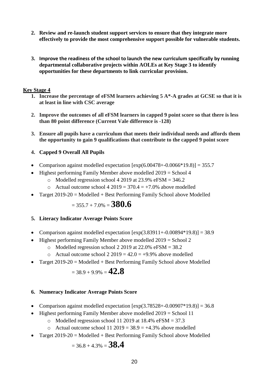- **2. Review and re-launch student support services to ensure that they integrate more effectively to provide the most comprehensive support possible for vulnerable students.**
- **3. Improve the readiness of the school to launch the new curriculum specifically by running departmental collaborative projects within AOLEs at Key Stage 3 to identify opportunities for these departments to link curricular provision.**

#### **Key Stage 4**

- **1. Increase the percentage of eFSM learners achieving 5 A\*-A grades at GCSE so that it is at least in line with CSC average**
- **2. Improve the outcomes of all eFSM learners in capped 9 point score so that there is less than 80 point difference (Current Vale difference is -128)**
- **3. Ensure all pupils have a curriculum that meets their individual needs and affords them the opportunity to gain 9 qualifications that contribute to the capped 9 point score**

#### **4. Capped 9 Overall All Pupils**

- Comparison against modelled expectation  $[\exp(6.00478 + -0.0066 * 19.8)] = 355.7$
- Highest performing Family Member above modelled 2019 = School 4
	- o Modelled regression school 4 2019 at 23.9% eFSM  $=$  346.2
	- $\circ$  Actual outcome school 4 2019 = 370.4 = +7.0% above modelled
- Target  $2019-20$  = Modelled + Best Performing Family School above Modelled

$$
= 355.7 + 7.0\% = 380.6
$$

#### **5. Literacy Indicator Average Points Score**

- Comparison against modelled expectation  $[\exp(3.83911 + -0.00894 \cdot 19.8)] = 38.9$
- Highest performing Family Member above modelled 2019 = School 2
	- $\circ$  Modelled regression school 2 2019 at 22.0% eFSM = 38.2
	- $\circ$  Actual outcome school 2 2019 = 42.0 = +9.9% above modelled
- Target  $2019-20$  = Modelled + Best Performing Family School above Modelled

$$
=38.9+9.9\%=\textcolor{red}{42.8}
$$

#### **6. Numeracy Indicator Average Points Score**

- Comparison against modelled expectation  $[\exp(3.78528 \div -0.00907 \times 19.8)] = 36.8$
- Highest performing Family Member above modelled 2019 = School 11
	- $\circ$  Modelled regression school 11 2019 at 18.4% eFSM = 37.3
	- o Actual outcome school 11 2019 =  $38.9 = +4.3\%$  above modelled
- Target  $2019-20 =$  Modelled + Best Performing Family School above Modelled

 $= 36.8 + 4.3\% = 38.4$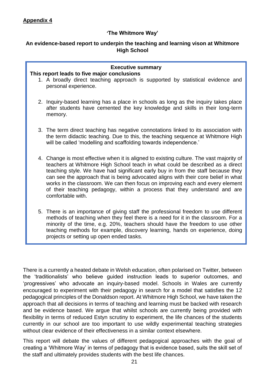#### **'The Whitmore Way'**

#### **An evidence-based report to underpin the teaching and learning vison at Whitmore High School**

| <b>Executive summary</b><br>This report leads to five major conclusions<br>1. A broadly direct teaching approach is supported by statistical evidence and<br>personal experience.                                                                                                                                                                                                                                                                                                                                                      |
|----------------------------------------------------------------------------------------------------------------------------------------------------------------------------------------------------------------------------------------------------------------------------------------------------------------------------------------------------------------------------------------------------------------------------------------------------------------------------------------------------------------------------------------|
| 2. Inquiry-based learning has a place in schools as long as the inquiry takes place<br>after students have cemented the key knowledge and skills in their long-term<br>memory.                                                                                                                                                                                                                                                                                                                                                         |
| 3. The term direct teaching has negative connotations linked to its association with<br>the term didactic teaching. Due to this, the teaching sequence at Whitmore High<br>will be called 'modelling and scaffolding towards independence.'                                                                                                                                                                                                                                                                                            |
| 4. Change is most effective when it is aligned to existing culture. The vast majority of<br>teachers at Whitmore High School teach in what could be described as a direct<br>teaching style. We have had significant early buy in from the staff because they<br>can see the approach that is being advocated aligns with their core belief in what<br>works in the classroom. We can then focus on improving each and every element<br>of their teaching pedagogy, within a process that they understand and are<br>comfortable with. |
| 5. There is an importance of giving staff the professional freedom to use different<br>methods of teaching when they feel there is a need for it in the classroom. For a<br>minority of the time, e.g. 20%, teachers should have the freedom to use other<br>teaching methods for example, discovery learning, hands on experience, doing<br>projects or setting up open ended tasks.                                                                                                                                                  |

There is a currently a heated debate in Welsh education, often polarised on Twitter, between the 'traditionalists' who believe guided instruction leads to superior outcomes, and 'progressives' who advocate an inquiry-based model. Schools in Wales are currently encouraged to experiment with their pedagogy in search for a model that satisfies the 12 pedagogical principles of the Donaldson report. At Whitmore High School, we have taken the approach that all decisions in terms of teaching and learning must be backed with research and be evidence based. We argue that whilst schools are currently being provided with flexibility in terms of reduced Estyn scrutiny to experiment, the life chances of the students currently in our school are too important to use wildly experimental teaching strategies without clear evidence of their effectiveness in a similar context elsewhere.

This report will debate the values of different pedagogical approaches with the goal of creating a 'Whitmore Way' in terms of pedagogy that is evidence based, suits the skill set of the staff and ultimately provides students with the best life chances.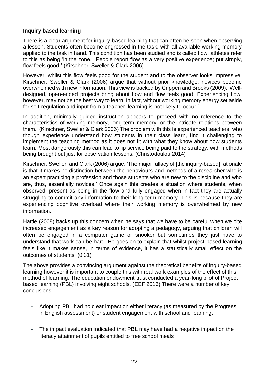#### **Inquiry based learning**

There is a clear argument for inquiry-based learning that can often be seen when observing a lesson. Students often become engrossed in the task, with all available working memory applied to the task in hand. This condition has been studied and is called flow, athletes refer to this as being 'in the zone.' 'People report flow as a very positive experience; put simply, flow feels good**.'** (Kirschner, Sweller & Clark 2006)

However, whilst this flow feels good for the student and to the observer looks impressive, Kirschner, Sweller & Clark (2006) argue that without prior knowledge, novices become overwhelmed with new information. This view is backed by Crippen and Brooks (2009), 'Welldesigned, open-ended projects bring about flow and flow feels good. Experiencing flow, however, may not be the best way to learn. In fact, without working memory energy set aside for self-regulation and input from a teacher, learning is not likely to occur.'

In addition, minimally guided instruction appears to proceed with no reference to the characteristics of working memory, long-term memory, or the intricate relations between them.' (Kirschner, Sweller & Clark 2006) The problem with this is experienced teachers, who though experience understand how students in their class learn, find it challenging to implement the teaching method as it does not fit with what they know about how students learn. Most dangerously this can lead to lip service being paid to the strategy, with methods being brought out just for observation lessons. (Christodoulou 2014)

Kirschner, Sweller, and Clark (2006) argue: 'The major fallacy of [the inquiry-based] rationale is that it makes no distinction between the behaviours and methods of a researcher who is an expert practicing a profession and those students who are new to the discipline and who are, thus, essentially novices.' Once again this creates a situation where students, when observed, present as being in the flow and fully engaged when in fact they are actually struggling to commit any information to their long-term memory. This is because they are experiencing cognitive overload where their working memory is overwhelmed by new information.

Hattie (2008) backs up this concern when he says that we have to be careful when we cite increased engagement as a key reason for adopting a pedagogy, arguing that children will often be engaged in a computer game or snooker but sometimes they just have to understand that work can be hard. He goes on to explain that whilst project-based learning feels like it makes sense, in terms of evidence, it has a statistically small effect on the outcomes of students. (0.31)

The above provides a convincing argument against the theoretical benefits of inquiry-based learning however it is important to couple this with real work examples of the effect of this method of learning. The education endowment trust conducted a year-long pilot of Project based learning (PBL) involving eight schools. (EEF 2016) There were a number of key conclusions:

- Adopting PBL had no clear impact on either literacy (as measured by the Progress in English assessment) or student engagement with school and learning.
- The impact evaluation indicated that PBL may have had a negative impact on the literacy attainment of pupils entitled to free school meals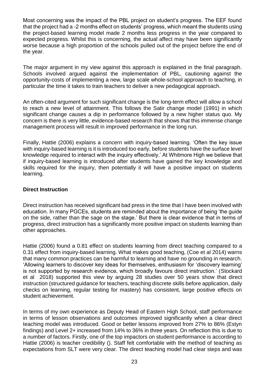Most concerning was the impact of the PBL project on student's progress. The EEF found that the project had a -2 months effect on students' progress, which meant the students using the project-based learning model made 2 months less progress in the year compared to expected progress. Whilst this is concerning, the actual affect may have been significantly worse because a high proportion of the schools pulled out of the project before the end of the year.

The major argument in my view against this approach is explained in the final paragraph. Schools involved argued against the implementation of PBL, cautioning against the opportunity-costs of implementing a new, large scale whole-school approach to teaching, in particular the time it takes to train teachers to deliver a new pedagogical approach.

An often-cited argument for such significant change is the long-term effect will allow a school to reach a new level of attainment. This follows the Satir change model (1991) in which significant change causes a dip in performance followed by a new higher status quo. My concern is there is very little, evidence-based research that shows that this immense change management process will result in improved performance in the long run.

Finally, Hattie (2006) explains a concern with inquiry-based learning. 'Often the key issue with inquiry-based learning is it is introduced too early, before students have the surface level knowledge required to interact with the inquiry effectively.' At Whitmore High we believe that if inquiry-based learning is introduced after students have gained the key knowledge and skills required for the inquiry, then potentially it will have a positive impact on students learning.

#### **Direct Instruction**

Direct instruction has received significant bad press in the time that I have been involved with education. In many PGCEs, students are reminded about the importance of being 'the guide on the side, rather than the sage on the stage.' But there is clear evidence that in terms of progress, direct instruction has a significantly more positive impact on students learning than other approaches.

Hattie (2006) found a 0.81 effect on students learning from direct teaching compared to a 0.31 effect from inquiry-based learning. What makes good teaching, (Coe et al 2014) warns that many common practices can be harmful to learning and have no grounding in research. 'Allowing learners to discover key ideas for themselves, enthusiasm for 'discovery learning' is not supported by research evidence, which broadly favours direct instruction.' (Stockard et al 2018) supported this view by arguing 28 studies over 50 years show that direct instruction (structured guidance for teachers, teaching discrete skills before application, daily checks on learning, regular testing for mastery) has consistent, large positive effects on student achievement.

In terms of my own experience as Deputy Head of Eastern High School, staff performance in terms of lesson observations and outcomes improved significantly when a clear direct teaching model was introduced. Good or better lessons improved from 27% to 86% (Estyn findings) and Level 2+ increased from 14% to 36% in three years. On reflection this is due to a number of factors. Firstly, one of the top impactors on student performance is according to Hattie (2006) is teacher credibility (). Staff felt comfortable with the method of teaching as expectations from SLT were very clear. The direct teaching model had clear steps and was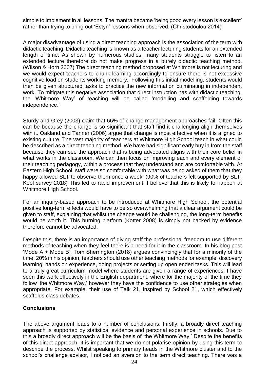simple to implement in all lessons. The mantra became 'being good every lesson is excellent' rather than trying to bring out 'Estyn' lessons when observed. (Christodoulou 2014)

A major disadvantage of using a direct teaching approach is the association of the term with didactic teaching. Didactic teaching is known as a teacher lecturing students for an extended length of time. As shown by numerous studies, many students struggle to listen to an extended lecture therefore do not make progress in a purely didactic teaching method. (Wilson & Horn 2007) The direct teaching method proposed at Whitmore is not lecturing and we would expect teachers to chunk learning accordingly to ensure there is not excessive cognitive load on students working memory. Following this initial modelling, students would then be given structured tasks to practice the new information culminating in independent work. To mitigate this negative association that direct instruction has with didactic teaching. the 'Whitmore Way' of teaching will be called 'modelling and scaffolding towards independence.'

Sturdy and Grey (2003) claim that 66% of change management approaches fail. Often this can be because the change is so significant that staff find it challenging align themselves with it. Oakland and Tanner (2006) argue that change is most effective when it is aligned to existing culture. The vast majority of teachers at Whitmore High School teach in what could be described as a direct teaching method. We have had significant early buy in from the staff because they can see the approach that is being advocated aligns with their core belief in what works in the classroom. We can then focus on improving each and every element of their teaching pedagogy, within a process that they understand and are comfortable with. At Eastern High School, staff were so comfortable with what was being asked of them that they happy allowed SLT to observe them once a week. (90% of teachers felt supported by SLT, Keel survey 2018) This led to rapid improvement. I believe that this is likely to happen at Whitmore High School.

For an inquiry-based approach to be introduced at Whitmore High School, the potential positive long-term effects would have to be so overwhelming that a clear argument could be given to staff, explaining that whilst the change would be challenging, the long-term benefits would be worth it. This burning platform (Kotter 2008) is simply not backed by evidence therefore cannot be advocated.

Despite this, there is an importance of giving staff the professional freedom to use different methods of teaching when they feel there is a need for it in the classroom. In his blog post 'Mode A + Mode B', Tom Sherrington (2018) argues convincingly that for a minority of the time, 20% in his opinion, teachers should use other teaching methods for example, discovery learning, hands on experience, doing projects or setting up open ended tasks. This will lead to a truly great curriculum model where students are given a range of experiences. I have seen this work effectively in the English department, where for the majority of the time they follow 'the Whitmore Way,' however they have the confidence to use other strategies when appropriate. For example, their use of Talk 21, inspired by School 21, which effectively scaffolds class debates.

#### **Conclusions**

The above argument leads to a number of conclusions. Firstly, a broadly direct teaching approach is supported by statistical evidence and personal experience in schools. Due to this a broadly direct approach will be the basis of 'the Whitmore Way.' Despite the benefits of this direct approach, it is important that we do not polarise opinion by using this term to describe the process. Whilst speaking to primary heads in the Whitmore cluster and to the school's challenge advisor, I noticed an aversion to the term direct teaching. There was a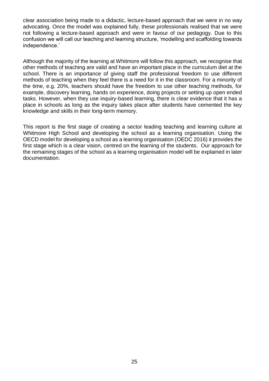clear association being made to a didactic, lecture-based approach that we were in no way advocating. Once the model was explained fully, these professionals realised that we were not following a lecture-based approach and were in favour of our pedagogy. Due to this confusion we will call our teaching and learning structure, 'modelling and scaffolding towards independence.'

Although the majority of the learning at Whitmore will follow this approach, we recognise that other methods of teaching are valid and have an important place in the curriculum diet at the school. There is an importance of giving staff the professional freedom to use different methods of teaching when they feel there is a need for it in the classroom. For a minority of the time, e.g. 20%, teachers should have the freedom to use other teaching methods, for example, discovery learning, hands on experience, doing projects or setting up open ended tasks. However, when they use inquiry-based learning, there is clear evidence that it has a place in schools as long as the inquiry takes place after students have cemented the key knowledge and skills in their long-term memory.

This report is the first stage of creating a sector leading teaching and learning culture at Whitmore High School and developing the school as a learning organisation. Using the OECD model for developing a school as a learning organisation (OEDC 2016) it provides the first stage which is a clear vision, centred on the learning of the students. Our approach for the remaining stages of the school as a learning organisation model will be explained in later documentation.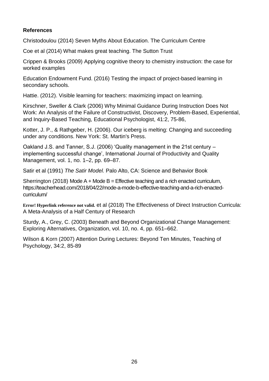#### **References**

[Christodoulou](https://www.amazon.co.uk/Daisy-Christodoulou/e/B00FHLXF0Y/ref=dp_byline_cont_book_1) (2014) Seven Myths About Education. The Curriculum Centre

Coe et al (2014) What makes great teaching. The Sutton Trust

Crippen & Brooks (2009) Applying cognitive theory to chemistry instruction: the case for worked examples

Education Endowment Fund. (2016) Testing the impact of project-based learning in secondary schools.

Hattie. (2012). Visible learning for teachers: maximizing impact on learning.

Kirschner, Sweller & Clark (2006) Why Minimal Guidance During Instruction Does Not Work: An Analysis of the Failure of Constructivist, Discovery, Problem-Based, Experiential, and Inquiry-Based Teaching, Educational Psychologist, 41:2, 75-86,

Kotter, J. P., & Rathgeber, H. (2006). Our iceberg is melting: Changing and succeeding under any conditions. New York: St. Martin's Press.

Oakland J.S. and Tanner, S.J. (2006) 'Quality management in the 21st century – implementing successful change', International Journal of Productivity and Quality Management, vol. 1, no. 1–2, pp. 69–87.

Satir et al (1991) *The Satir Model.* Palo Alto, CA: Science and Behavior Book

Sherrington (2018) Mode  $A + Mode$  B = Effective teaching and a rich enacted curriculum, https://teacherhead.com/2018/04/22/mode-a-mode-b-effective-teaching-and-a-rich-enactedcurriculum/

**Error! Hyperlink reference not valid.** et al (2018) The Effectiveness of Direct Instruction Curricula: A Meta-Analysis of a Half Century of Research

Sturdy, A., Grey, C. (2003) Beneath and Beyond Organizational Change Management: Exploring Alternatives, Organization, vol. 10, no. 4, pp. 651–662.

Wilson & Korn (2007) Attention During Lectures: Beyond Ten Minutes, Teaching of Psychology, 34:2, 85-89